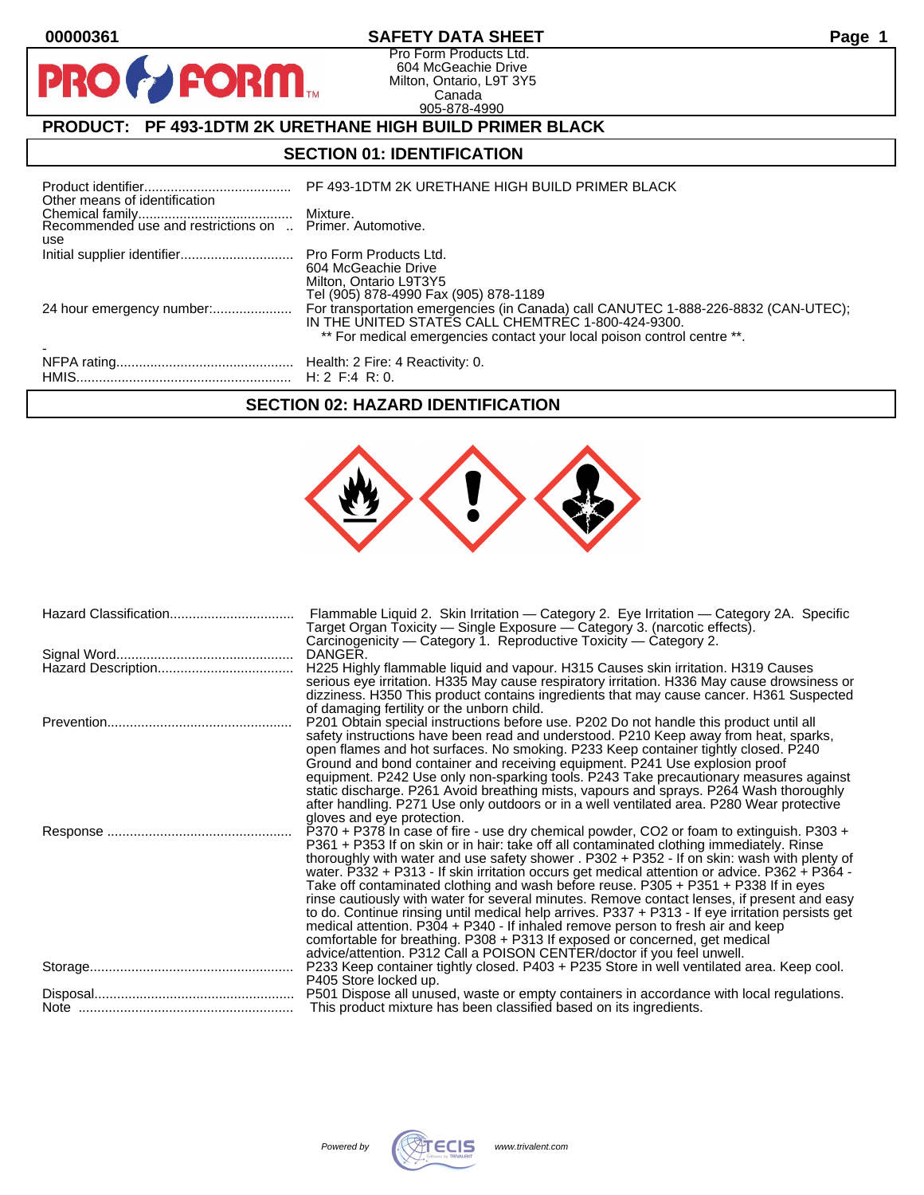$\bullet$ 

PR

## **00000361 SAFETY DATA SHEET Page 1**

Pro Form Products Ltd. 604 McGeachie Drive Milton, Ontario, L9T 3Y5 Canada 905-878-4990

# **PRODUCT: PF 493-1DTM 2K URETHANE HIGH BUILD PRIMER BLACK**

**FORM.** 

## **SECTION 01: IDENTIFICATION**

| Other means of identification | PF 493-1DTM 2K URETHANE HIGH BUILD PRIMER BLACK                                                                               |
|-------------------------------|-------------------------------------------------------------------------------------------------------------------------------|
|                               |                                                                                                                               |
| use                           |                                                                                                                               |
|                               | 604 McGeachie Drive<br>Milton, Ontario L9T3Y5<br>Tel (905) 878-4990 Fax (905) 878-1189                                        |
|                               | IN THE UNITED STATES CALL CHEMTREC 1-800-424-9300.<br>** For medical emergencies contact your local poison control centre **. |
|                               |                                                                                                                               |

#### **SECTION 02: HAZARD IDENTIFICATION**



| Flammable Liquid 2. Skin Irritation — Category 2. Eye Irritation — Category 2A. Specific<br>Target Organ Toxicity — Single Exposure — Category 3. (narcotic effects).                        |  |  |  |  |  |  |
|----------------------------------------------------------------------------------------------------------------------------------------------------------------------------------------------|--|--|--|--|--|--|
| Carcinogenicity — Category 1. Reproductive Toxicity — Category 2.                                                                                                                            |  |  |  |  |  |  |
| DANGER.                                                                                                                                                                                      |  |  |  |  |  |  |
| H225 Highly flammable liquid and vapour. H315 Causes skin irritation. H319 Causes                                                                                                            |  |  |  |  |  |  |
| serious eye irritation. H335 May cause respiratory irritation. H336 May cause drowsiness or                                                                                                  |  |  |  |  |  |  |
| dizziness. H350 This product contains ingredients that may cause cancer. H361 Suspected                                                                                                      |  |  |  |  |  |  |
| of damaging fertility or the unborn child.                                                                                                                                                   |  |  |  |  |  |  |
| P201 Obtain special instructions before use. P202 Do not handle this product until all                                                                                                       |  |  |  |  |  |  |
| safety instructions have been read and understood. P210 Keep away from heat, sparks,                                                                                                         |  |  |  |  |  |  |
| open flames and hot surfaces. No smoking. P233 Keep container tightly closed. P240                                                                                                           |  |  |  |  |  |  |
| Ground and bond container and receiving equipment. P241 Use explosion proof                                                                                                                  |  |  |  |  |  |  |
| equipment. P242 Use only non-sparking tools. P243 Take precautionary measures against                                                                                                        |  |  |  |  |  |  |
| static discharge. P261 Avoid breathing mists, vapours and sprays. P264 Wash thoroughly                                                                                                       |  |  |  |  |  |  |
| after handling. P271 Use only outdoors or in a well ventilated area. P280 Wear protective                                                                                                    |  |  |  |  |  |  |
| gloves and eye protection.                                                                                                                                                                   |  |  |  |  |  |  |
| P370 + P378 In case of fire - use dry chemical powder, CO2 or foam to extinguish. P303 +                                                                                                     |  |  |  |  |  |  |
| P361 + P353 If on skin or in hair: take off all contaminated clothing immediately. Rinse                                                                                                     |  |  |  |  |  |  |
| thoroughly with water and use safety shower . P302 + P352 - If on skin: wash with plenty of<br>water. P332 + P313 - If skin irritation occurs get medical attention or advice. P362 + P364 - |  |  |  |  |  |  |
| Take off contaminated clothing and wash before reuse. P305 + P351 + P338 If in eyes                                                                                                          |  |  |  |  |  |  |
| rinse cautiously with water for several minutes. Remove contact lenses, if present and easy                                                                                                  |  |  |  |  |  |  |
| to do. Continue rinsing until medical help arrives. P337 + P313 - If eye irritation persists get                                                                                             |  |  |  |  |  |  |
| medical attention. P304 + P340 - If inhaled remove person to fresh air and keep                                                                                                              |  |  |  |  |  |  |
| comfortable for breathing. P308 + P313 If exposed or concerned, get medical                                                                                                                  |  |  |  |  |  |  |
| advice/attention. P312 Call a POISON CENTER/doctor if you feel unwell.                                                                                                                       |  |  |  |  |  |  |
| P233 Keep container tightly closed. P403 + P235 Store in well ventilated area. Keep cool.                                                                                                    |  |  |  |  |  |  |
| P405 Store locked up.                                                                                                                                                                        |  |  |  |  |  |  |
| P501 Dispose all unused, waste or empty containers in accordance with local regulations.                                                                                                     |  |  |  |  |  |  |
| This product mixture has been classified based on its ingredients.                                                                                                                           |  |  |  |  |  |  |



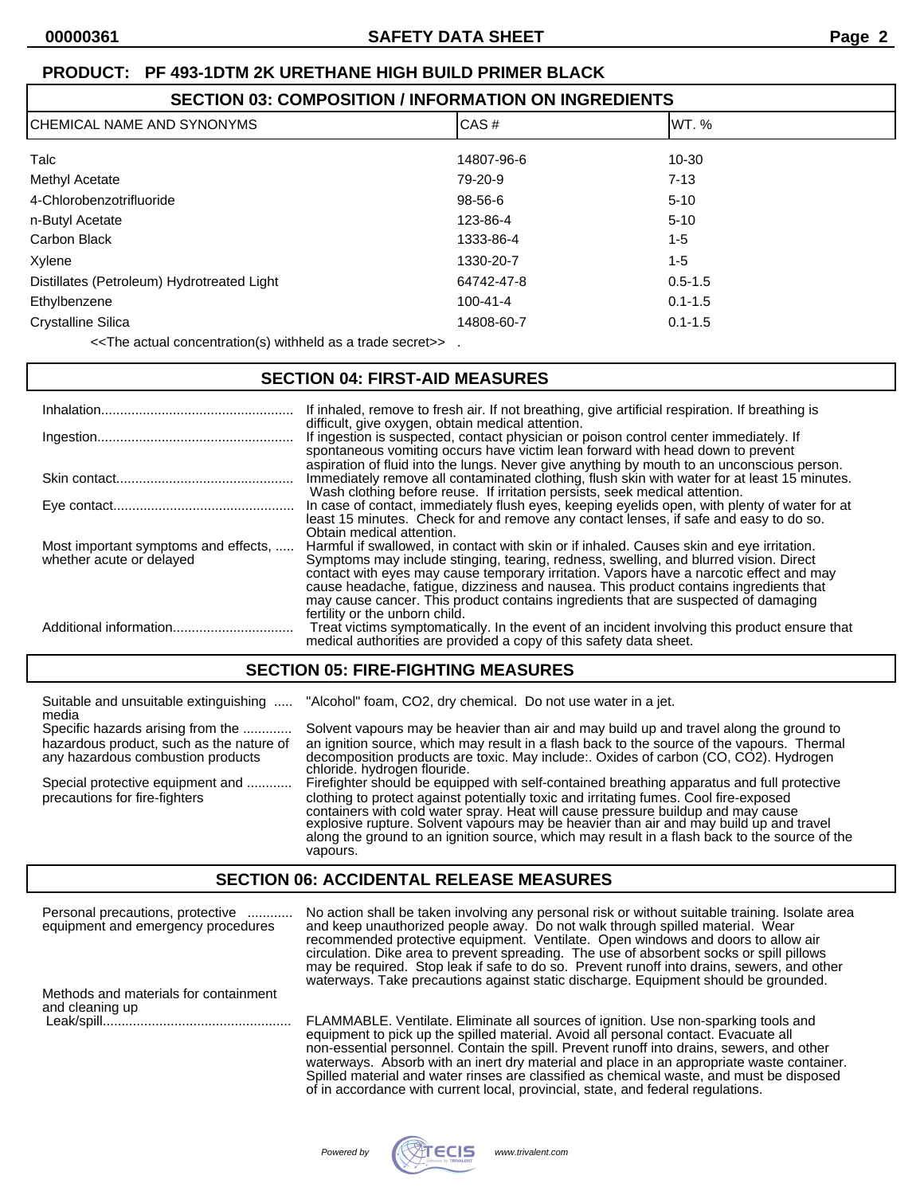| <b>SECTION 03: COMPOSITION / INFORMATION ON INGREDIENTS</b> |                |             |  |  |
|-------------------------------------------------------------|----------------|-------------|--|--|
| CHEMICAL NAME AND SYNONYMS                                  | CAS#           | IWT. %      |  |  |
| Talc                                                        | 14807-96-6     | $10 - 30$   |  |  |
| Methyl Acetate                                              | 79-20-9        | $7 - 13$    |  |  |
| 4-Chlorobenzotrifluoride                                    | $98-56-6$      | $5 - 10$    |  |  |
| n-Butyl Acetate                                             | 123-86-4       | $5 - 10$    |  |  |
| Carbon Black                                                | 1333-86-4      | $1 - 5$     |  |  |
| Xylene                                                      | 1330-20-7      | $1 - 5$     |  |  |
| Distillates (Petroleum) Hydrotreated Light                  | 64742-47-8     | $0.5 - 1.5$ |  |  |
| Ethylbenzene                                                | $100 - 41 - 4$ | $0.1 - 1.5$ |  |  |
|                                                             |                |             |  |  |

Crystalline Silica 14808-60-7 0.1-1.5

<<The actual concentration(s) withheld as a trade secret>> .

#### **SECTION 04: FIRST-AID MEASURES**

|                                                                  | If inhaled, remove to fresh air. If not breathing, give artificial respiration. If breathing is<br>difficult, give oxygen, obtain medical attention.                                                                                                                                                                                                                                                                                                                                      |
|------------------------------------------------------------------|-------------------------------------------------------------------------------------------------------------------------------------------------------------------------------------------------------------------------------------------------------------------------------------------------------------------------------------------------------------------------------------------------------------------------------------------------------------------------------------------|
|                                                                  | If ingestion is suspected, contact physician or poison control center immediately. If<br>spontaneous vomiting occurs have victim lean forward with head down to prevent                                                                                                                                                                                                                                                                                                                   |
|                                                                  | aspiration of fluid into the lungs. Never give anything by mouth to an unconscious person.<br>Immediately remove all contaminated clothing, flush skin with water for at least 15 minutes.<br>Wash clothing before reuse. If irritation persists, seek medical attention.                                                                                                                                                                                                                 |
|                                                                  | In case of contact, immediately flush eyes, keeping eyelids open, with plenty of water for at<br>least 15 minutes. Check for and remove any contact lenses, if safe and easy to do so.                                                                                                                                                                                                                                                                                                    |
| Most important symptoms and effects,<br>whether acute or delayed | Obtain medical attention.<br>Harmful if swallowed, in contact with skin or if inhaled. Causes skin and eye irritation.<br>Symptoms may include stinging, tearing, redness, swelling, and blurred vision. Direct<br>contact with eyes may cause temporary irritation. Vapors have a narcotic effect and may<br>cause headache, fatigue, dizziness and nausea. This product contains ingredients that<br>may cause cancer. This product contains ingredients that are suspected of damaging |
| Additional information                                           | fertility or the unborn child.<br>Treat victims symptomatically. In the event of an incident involving this product ensure that<br>medical authorities are provided a copy of this safety data sheet.                                                                                                                                                                                                                                                                                     |

## **SECTION 05: FIRE-FIGHTING MEASURES**

| Suitable and unsuitable extinguishing<br>media                                                                     | "Alcohol" foam, CO2, dry chemical. Do not use water in a jet.                                                                                                                                                                                                                                                                                                                                                                                                                  |
|--------------------------------------------------------------------------------------------------------------------|--------------------------------------------------------------------------------------------------------------------------------------------------------------------------------------------------------------------------------------------------------------------------------------------------------------------------------------------------------------------------------------------------------------------------------------------------------------------------------|
| Specific hazards arising from the<br>hazardous product, such as the nature of<br>any hazardous combustion products | Solvent vapours may be heavier than air and may build up and travel along the ground to<br>an ignition source, which may result in a flash back to the source of the vapours. Thermal<br>decomposition products are toxic. May include: Oxides of carbon (CO, CO2). Hydrogen<br>chloride. hydrogen flouride.                                                                                                                                                                   |
| Special protective equipment and<br>precautions for fire-fighters                                                  | Firefighter should be equipped with self-contained breathing apparatus and full protective<br>clothing to protect against potentially toxic and irritating fumes. Cool fire-exposed<br>containers with cold water spray. Heat will cause pressure buildup and may cause<br>explosive rupture. Solvent vapours may be heavier than air and may build up and travel<br>along the ground to an ignition source, which may result in a flash back to the source of the<br>vapours. |

## **SECTION 06: ACCIDENTAL RELEASE MEASURES**

| Personal precautions, protective<br>equipment and emergency procedures | No action shall be taken involving any personal risk or without suitable training. Isolate area<br>and keep unauthorized people away. Do not walk through spilled material. Wear<br>recommended protective equipment. Ventilate. Open windows and doors to allow air<br>circulation. Dike area to prevent spreading. The use of absorbent socks or spill pillows<br>may be required. Stop leak if safe to do so. Prevent runoff into drains, sewers, and other<br>waterways. Take precautions against static discharge. Equipment should be grounded. |
|------------------------------------------------------------------------|-------------------------------------------------------------------------------------------------------------------------------------------------------------------------------------------------------------------------------------------------------------------------------------------------------------------------------------------------------------------------------------------------------------------------------------------------------------------------------------------------------------------------------------------------------|
| Methods and materials for containment<br>and cleaning up               |                                                                                                                                                                                                                                                                                                                                                                                                                                                                                                                                                       |
|                                                                        | FLAMMABLE. Ventilate. Eliminate all sources of ignition. Use non-sparking tools and<br>equipment to pick up the spilled material. Avoid all personal contact. Evacuate all<br>non-essential personnel. Contain the spill. Prevent runoff into drains, sewers, and other<br>waterways. Absorb with an inert dry material and place in an appropriate waste container.<br>Spilled material and water rinses are classified as chemical waste, and must be disposed<br>of in accordance with current local, provincial, state, and federal regulations.  |

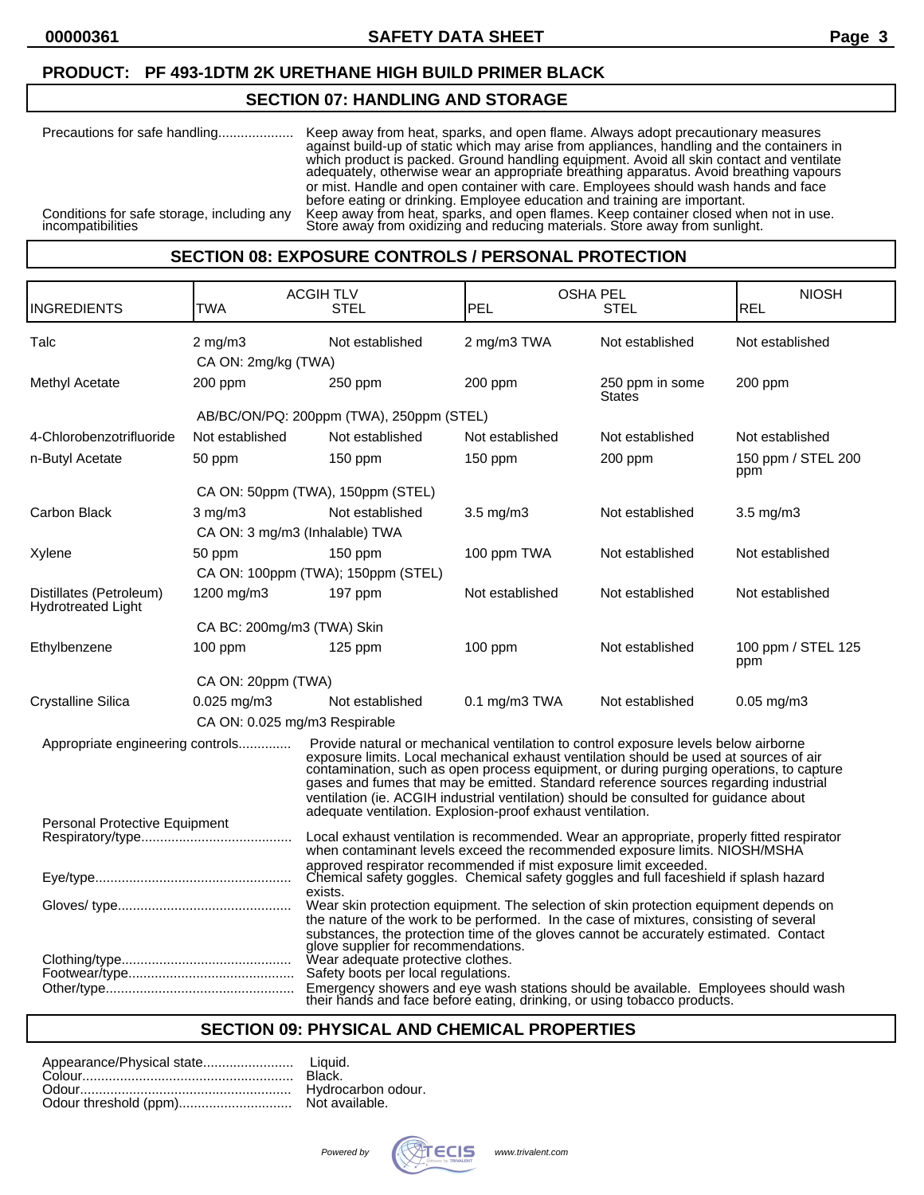### **SECTION 07: HANDLING AND STORAGE**

| Precautions for safe handling                                   | Keep away from heat, sparks, and open flame. Always adopt precautionary measures<br>against build-up of static which may arise from appliances, handling and the containers in<br>which product is packed. Ground handling equipment. Avoid all skin contact and ventilate<br>adequately, otherwise wear an appropriate breathing apparatus. Avoid breathing vapours |
|-----------------------------------------------------------------|----------------------------------------------------------------------------------------------------------------------------------------------------------------------------------------------------------------------------------------------------------------------------------------------------------------------------------------------------------------------|
| Conditions for safe storage, including any<br>incompatibilities | or mist. Handle and open container with care. Employees should wash hands and face<br>before eating or drinking. Employee education and training are important.<br>Keep away from heat, sparks, and open flames. Keep container closed when not in use.<br>Store away from oxidizing and reducing materials. Store away from sunlight.                               |

#### **SECTION 08: EXPOSURE CONTROLS / PERSONAL PROTECTION**

|                                                      |                                                                                                                                                                                 | <b>ACGIHTLV</b>                                                                                                                                                                                                                                                                                                                                                                                                                                                                                                         | <b>OSHA PEL</b>    |                           | <b>NIOSH</b>              |  |
|------------------------------------------------------|---------------------------------------------------------------------------------------------------------------------------------------------------------------------------------|-------------------------------------------------------------------------------------------------------------------------------------------------------------------------------------------------------------------------------------------------------------------------------------------------------------------------------------------------------------------------------------------------------------------------------------------------------------------------------------------------------------------------|--------------------|---------------------------|---------------------------|--|
| INGREDIENTS                                          | TWA                                                                                                                                                                             | <b>STEL</b>                                                                                                                                                                                                                                                                                                                                                                                                                                                                                                             | PEL<br><b>STEL</b> |                           | <b>REL</b>                |  |
| Talc                                                 | $2$ mg/m $3$                                                                                                                                                                    | Not established                                                                                                                                                                                                                                                                                                                                                                                                                                                                                                         | 2 mg/m3 TWA        | Not established           | Not established           |  |
|                                                      | CA ON: 2mg/kg (TWA)                                                                                                                                                             |                                                                                                                                                                                                                                                                                                                                                                                                                                                                                                                         |                    |                           |                           |  |
| Methyl Acetate                                       | 200 ppm                                                                                                                                                                         | 250 ppm                                                                                                                                                                                                                                                                                                                                                                                                                                                                                                                 | 200 ppm            | 250 ppm in some<br>States | 200 ppm                   |  |
|                                                      |                                                                                                                                                                                 | AB/BC/ON/PQ: 200ppm (TWA), 250ppm (STEL)                                                                                                                                                                                                                                                                                                                                                                                                                                                                                |                    |                           |                           |  |
| 4-Chlorobenzotrifluoride                             | Not established                                                                                                                                                                 | Not established                                                                                                                                                                                                                                                                                                                                                                                                                                                                                                         | Not established    | Not established           | Not established           |  |
| n-Butyl Acetate                                      | 50 ppm                                                                                                                                                                          | 150 ppm                                                                                                                                                                                                                                                                                                                                                                                                                                                                                                                 | 150 ppm            | $200$ ppm                 | 150 ppm / STEL 200<br>ppm |  |
|                                                      |                                                                                                                                                                                 | CA ON: 50ppm (TWA), 150ppm (STEL)                                                                                                                                                                                                                                                                                                                                                                                                                                                                                       |                    |                           |                           |  |
| Carbon Black                                         | $3$ mg/m $3$<br>CA ON: 3 mg/m3 (Inhalable) TWA                                                                                                                                  | Not established                                                                                                                                                                                                                                                                                                                                                                                                                                                                                                         | $3.5 \text{ mg/m}$ | Not established           | $3.5 \text{ mg/m}$        |  |
| Xylene                                               | 50 ppm                                                                                                                                                                          | $150$ ppm                                                                                                                                                                                                                                                                                                                                                                                                                                                                                                               | 100 ppm TWA        | Not established           | Not established           |  |
|                                                      |                                                                                                                                                                                 | CA ON: 100ppm (TWA); 150ppm (STEL)                                                                                                                                                                                                                                                                                                                                                                                                                                                                                      |                    |                           |                           |  |
| Distillates (Petroleum)<br><b>Hydrotreated Light</b> | 1200 mg/m3                                                                                                                                                                      | 197 ppm                                                                                                                                                                                                                                                                                                                                                                                                                                                                                                                 | Not established    | Not established           | Not established           |  |
|                                                      | CA BC: 200mg/m3 (TWA) Skin                                                                                                                                                      |                                                                                                                                                                                                                                                                                                                                                                                                                                                                                                                         |                    |                           |                           |  |
| Ethylbenzene                                         | $100$ ppm                                                                                                                                                                       | $125$ ppm                                                                                                                                                                                                                                                                                                                                                                                                                                                                                                               | $100$ ppm          | Not established           | 100 ppm / STEL 125<br>ppm |  |
|                                                      | CA ON: 20ppm (TWA)                                                                                                                                                              |                                                                                                                                                                                                                                                                                                                                                                                                                                                                                                                         |                    |                           |                           |  |
| <b>Crystalline Silica</b>                            | $0.025$ mg/m3                                                                                                                                                                   | Not established                                                                                                                                                                                                                                                                                                                                                                                                                                                                                                         | $0.1$ mg/m $3$ TWA | Not established           | $0.05$ mg/m $3$           |  |
|                                                      | CA ON: 0.025 mg/m3 Respirable                                                                                                                                                   |                                                                                                                                                                                                                                                                                                                                                                                                                                                                                                                         |                    |                           |                           |  |
| Appropriate engineering controls                     |                                                                                                                                                                                 | Provide natural or mechanical ventilation to control exposure levels below airborne<br>exposure limits. Local mechanical exhaust ventilation should be used at sources of air<br>contamination, such as open process equipment, or during purging operations, to capture<br>gases and fumes that may be emitted. Standard reference sources regarding industrial<br>ventilation (ie. ACGIH industrial ventilation) should be consulted for guidance about<br>adequate ventilation. Explosion-proof exhaust ventilation. |                    |                           |                           |  |
| Personal Protective Equipment                        |                                                                                                                                                                                 |                                                                                                                                                                                                                                                                                                                                                                                                                                                                                                                         |                    |                           |                           |  |
|                                                      | Local exhaust ventilation is recommended. Wear an appropriate, properly fitted respirator<br>when contaminant levels exceed the recommended exposure limits. NIOSH/MSHA         |                                                                                                                                                                                                                                                                                                                                                                                                                                                                                                                         |                    |                           |                           |  |
|                                                      | approved respirator recommended if mist exposure limit exceeded.<br>Chemical safety goggles. Chemical safety goggles and full faceshield if splash hazard<br>exists.            |                                                                                                                                                                                                                                                                                                                                                                                                                                                                                                                         |                    |                           |                           |  |
|                                                      | Wear skin protection equipment. The selection of skin protection equipment depends on<br>the nature of the work to be performed. In the case of mixtures, consisting of several |                                                                                                                                                                                                                                                                                                                                                                                                                                                                                                                         |                    |                           |                           |  |
|                                                      |                                                                                                                                                                                 | substances, the protection time of the gloves cannot be accurately estimated. Contact<br>glove supplier for recommendations.<br>Wear adequate protective clothes.<br>Safety boots per local regulations.<br>Emergency showers and eye wash stations should be available. Employees should wash<br>their hands and face before eating, drinking, or using tobacco products.                                                                                                                                              |                    |                           |                           |  |

## **SECTION 09: PHYSICAL AND CHEMICAL PROPERTIES**

| Black. |
|--------|
|        |
|        |

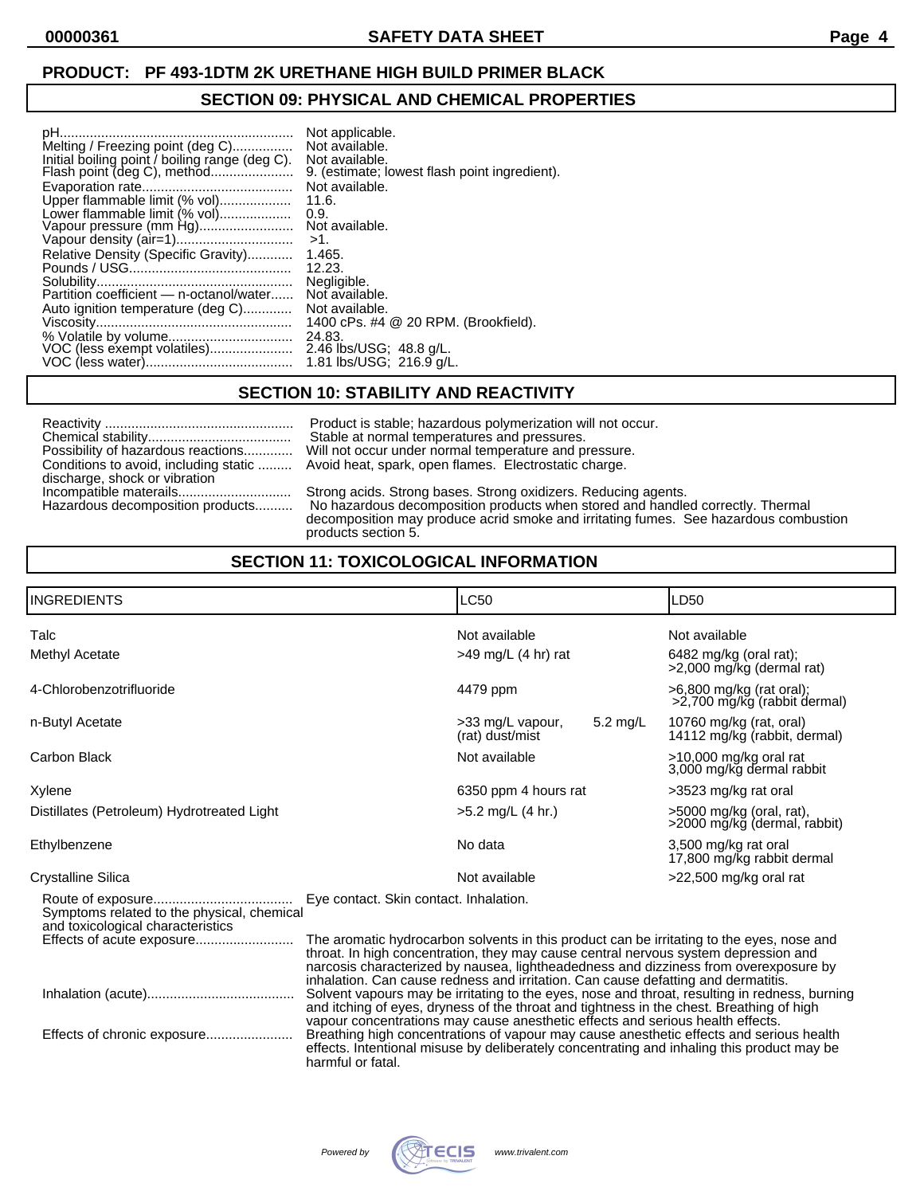## **SECTION 09: PHYSICAL AND CHEMICAL PROPERTIES**

| Not applicable.                               |
|-----------------------------------------------|
| Not available.                                |
| Not available.                                |
| 9. (estimate; lowest flash point ingredient). |
| Not available.                                |
| 11.6.                                         |
| 0.9.                                          |
| Not available.                                |
| >1.                                           |
| 1.465.                                        |
| 12.23.                                        |
| Negligible.                                   |
| Not available.                                |
| Not available.                                |
| 1400 cPs. #4 @ 20 RPM. (Brookfield).          |
| 24.83.                                        |
| 2.46 lbs/USG; 48.8 g/L.                       |
| 1.81 lbs/USG; 216.9 g/L.                      |
|                                               |

## **SECTION 10: STABILITY AND REACTIVITY**

|                                    | Product is stable; hazardous polymerization will not occur.                                                                                                                                                                                                     |
|------------------------------------|-----------------------------------------------------------------------------------------------------------------------------------------------------------------------------------------------------------------------------------------------------------------|
|                                    | Stable at normal temperatures and pressures.                                                                                                                                                                                                                    |
| Possibility of hazardous reactions | Will not occur under normal temperature and pressure.                                                                                                                                                                                                           |
| discharge, shock or vibration      | Conditions to avoid, including static  Avoid heat, spark, open flames. Electrostatic charge.                                                                                                                                                                    |
| Hazardous decomposition products   | Strong acids. Strong bases. Strong oxidizers. Reducing agents.<br>No hazardous decomposition products when stored and handled correctly. Thermal<br>decomposition may produce acrid smoke and irritating fumes. See hazardous combustion<br>products section 5. |

# **SECTION 11: TOXICOLOGICAL INFORMATION**

| <b>INGREDIENTS</b>                                                              |                                                                                                                                                                                                                                                                                                                                                               | <b>LC50</b>                         |          | LD50                                                     |  |
|---------------------------------------------------------------------------------|---------------------------------------------------------------------------------------------------------------------------------------------------------------------------------------------------------------------------------------------------------------------------------------------------------------------------------------------------------------|-------------------------------------|----------|----------------------------------------------------------|--|
| Talc                                                                            |                                                                                                                                                                                                                                                                                                                                                               | Not available                       |          | Not available                                            |  |
| Methyl Acetate                                                                  |                                                                                                                                                                                                                                                                                                                                                               | $>49$ mg/L (4 hr) rat               |          | $6482$ mg/kg (oral rat);<br>>2,000 mg/kg (dermal rat)    |  |
| 4-Chlorobenzotrifluoride                                                        |                                                                                                                                                                                                                                                                                                                                                               | 4479 ppm                            |          | >6,800 mg/kg (rat oral);<br>>2,700 mg/kg (rabbit dermal) |  |
| n-Butyl Acetate                                                                 |                                                                                                                                                                                                                                                                                                                                                               | >33 mg/L vapour,<br>(rat) dust/mist | 5.2 mg/L | 10760 mg/kg (rat, oral)<br>14112 mg/kg (rabbit, dermal)  |  |
| Carbon Black                                                                    |                                                                                                                                                                                                                                                                                                                                                               | Not available                       |          | >10,000 mg/kg oral rat<br>3,000 mg/kg dermal rabbit      |  |
| Xylene                                                                          |                                                                                                                                                                                                                                                                                                                                                               | 6350 ppm 4 hours rat                |          | >3523 mg/kg rat oral                                     |  |
| Distillates (Petroleum) Hydrotreated Light                                      |                                                                                                                                                                                                                                                                                                                                                               | $>5.2$ mg/L (4 hr.)                 |          | >5000 mg/kg (oral, rat),<br>>2000 mg/kg (dermal, rabbit) |  |
| Ethylbenzene                                                                    |                                                                                                                                                                                                                                                                                                                                                               | No data                             |          | 3,500 mg/kg rat oral<br>17,800 mg/kg rabbit dermal       |  |
| <b>Crystalline Silica</b>                                                       |                                                                                                                                                                                                                                                                                                                                                               | Not available                       |          | >22,500 mg/kg oral rat                                   |  |
| Symptoms related to the physical, chemical<br>and toxicological characteristics | Eye contact. Skin contact. Inhalation.                                                                                                                                                                                                                                                                                                                        |                                     |          |                                                          |  |
|                                                                                 | The aromatic hydrocarbon solvents in this product can be irritating to the eyes, nose and<br>throat. In high concentration, they may cause central nervous system depression and<br>narcosis characterized by nausea, lightheadedness and dizziness from overexposure by<br>inhalation. Can cause redness and irritation. Can cause defatting and dermatitis. |                                     |          |                                                          |  |
|                                                                                 | Solvent vapours may be irritating to the eyes, nose and throat, resulting in redness, burning<br>and itching of eyes, dryness of the throat and tightness in the chest. Breathing of high                                                                                                                                                                     |                                     |          |                                                          |  |
|                                                                                 | vapour concentrations may cause anesthetic effects and serious health effects.<br>Breathing high concentrations of vapour may cause anesthetic effects and serious health<br>effects. Intentional misuse by deliberately concentrating and inhaling this product may be<br>harmful or fatal.                                                                  |                                     |          |                                                          |  |

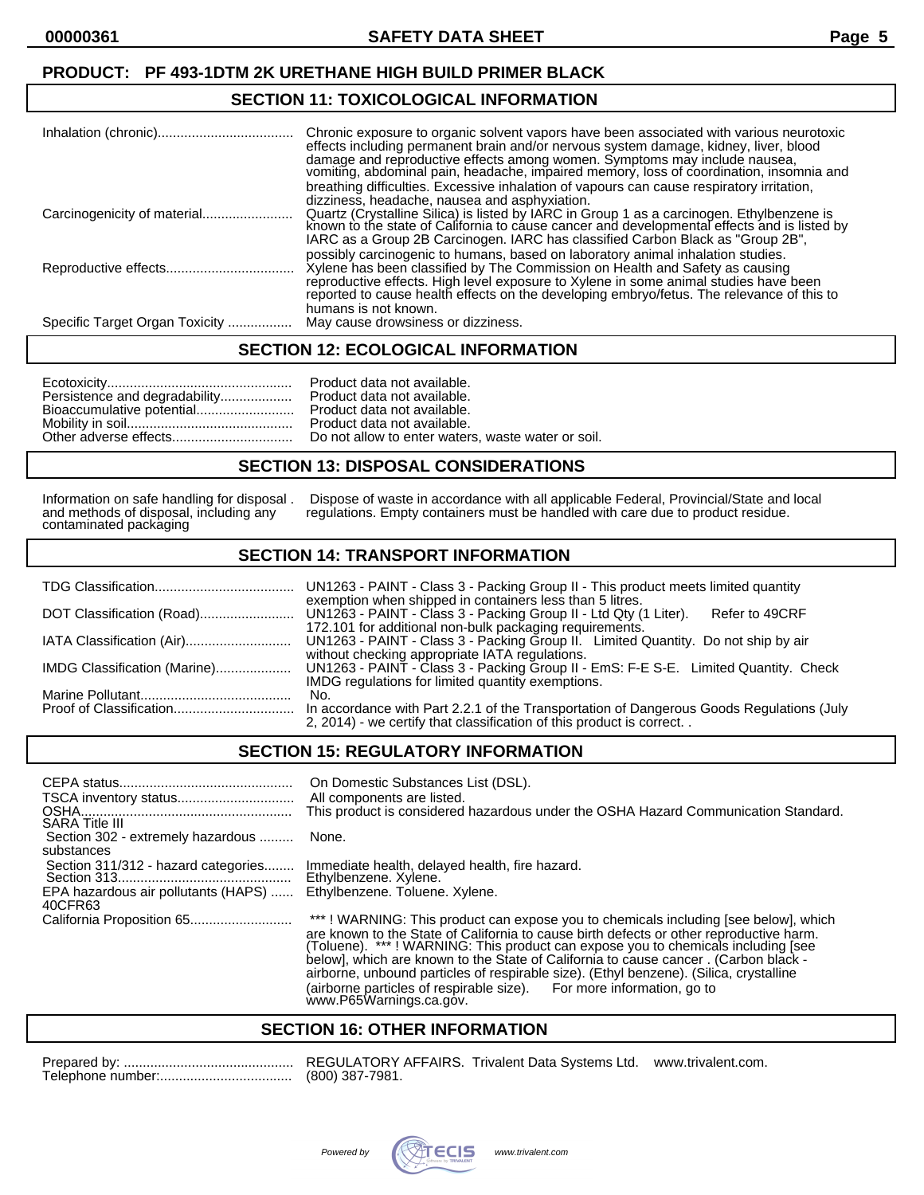#### **SECTION 11: TOXICOLOGICAL INFORMATION**

|                                | Chronic exposure to organic solvent vapors have been associated with various neurotoxic<br>effects including permanent brain and/or nervous system damage, kidney, liver, blood<br>damage and reproductive effects among women. Symptoms may include nausea,<br>vomiting, abdominal pain, headache, impaired memory, loss of coordination, insomnia and<br>breathing difficulties. Excessive inhalation of vapours can cause respiratory irritation,<br>dizziness, headache, nausea and asphyxiation. |
|--------------------------------|-------------------------------------------------------------------------------------------------------------------------------------------------------------------------------------------------------------------------------------------------------------------------------------------------------------------------------------------------------------------------------------------------------------------------------------------------------------------------------------------------------|
| Carcinogenicity of material    | Quartz (Crystalline Silica) is listed by IARC in Group 1 as a carcinogen. Ethylbenzene is<br>known to the state of California to cause cancer and developmental effects and is listed by<br>IARC as a Group 2B Carcinogen. IARC has classified Carbon Black as "Group 2B",                                                                                                                                                                                                                            |
|                                | possibly carcinogenic to humans, based on laboratory animal inhalation studies.<br>Xylene has been classified by The Commission on Health and Safety as causing<br>reproductive effects. High level exposure to Xylene in some animal studies have been reported to cause health effects on the developing embryo/fetus. The relevance of this to<br>humans is not known.                                                                                                                             |
| Specific Target Organ Toxicity | May cause drowsiness or dizziness.                                                                                                                                                                                                                                                                                                                                                                                                                                                                    |

#### **SECTION 12: ECOLOGICAL INFORMATION**

| Persistence and degradability<br>Bioaccumulative potential |
|------------------------------------------------------------|
| Other adverse effects                                      |

Product data not available. Product data not available. Product data not available. Product data not available. Do not allow to enter waters, waste water or soil.

#### **SECTION 13: DISPOSAL CONSIDERATIONS**

contaminated packaging

Information on safe handling for disposal . Dispose of waste in accordance with all applicable Federal, Provincial/State and local and methods of disposal, including any regulations. Empty containers must be handled with c regulations. Empty containers must be handled with care due to product residue.

## **SECTION 14: TRANSPORT INFORMATION**

|                              | UN1263 - PAINT - Class 3 - Packing Group II - This product meets limited quantity                                                              |
|------------------------------|------------------------------------------------------------------------------------------------------------------------------------------------|
|                              | exemption when shipped in containers less than 5 litres.<br>UN1263 - PAINT - Class 3 - Packing Group II - Ltd Qty (1 Liter).<br>Refer to 49CRF |
|                              | 172.101 for additional non-bulk packaging requirements.                                                                                        |
|                              | UN1263 - PAINT - Class 3 - Packing Group II. Limited Quantity. Do not ship by air                                                              |
|                              | without checking appropriate IATA regulations.                                                                                                 |
| IMDG Classification (Marine) | UN1263 - PAINT - Class 3 - Packing Group II - EmS: F-E S-E. Limited Quantity. Check                                                            |
|                              | IMDG regulations for limited quantity exemptions.                                                                                              |
|                              | No.                                                                                                                                            |
|                              | In accordance with Part 2.2.1 of the Transportation of Dangerous Goods Regulations (July                                                       |
|                              | 2, 2014) - we certify that classification of this product is correct                                                                           |

## **SECTION 15: REGULATORY INFORMATION**

| <b>SARA Title III</b>                                                                 | On Domestic Substances List (DSL).<br>All components are listed.<br>This product is considered hazardous under the OSHA Hazard Communication Standard.                                                                                                             |
|---------------------------------------------------------------------------------------|--------------------------------------------------------------------------------------------------------------------------------------------------------------------------------------------------------------------------------------------------------------------|
| Section 302 - extremely hazardous<br>substances                                       | None.                                                                                                                                                                                                                                                              |
| Section 311/312 - hazard categories<br>EPA hazardous air pollutants (HAPS)<br>40CFR63 | Immediate health, delayed health, fire hazard.<br>Ethylbenzene. Xylene.<br>Ethylbenzene. Toluene. Xylene.                                                                                                                                                          |
|                                                                                       | ***! WARNING: This product can expose you to chemicals including [see below], which<br>are known to the State of California to cause birth defects or other reproductive harm.<br>(Toluene). ***! WARNING: This product can expose you to chemicals including [see |

(Toluene). \*\*\* ! WARNING: This product can expose you to chemicals including [see below], which are known to the State of California to cause cancer . (Carbon black airborne, unbound particles of respirable size). (Ethyl benzene). (Silica, crystalline (airborne particles of respirable size). For more information, go to www.P65Warnings.ca.gov.

#### **SECTION 16: OTHER INFORMATION**